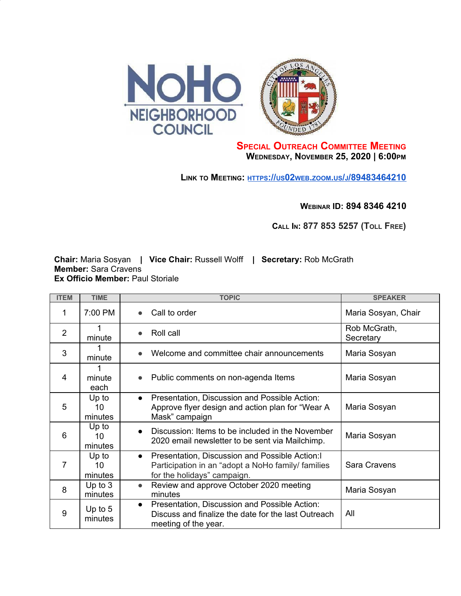

## **SPECIAL OUTREACH COMMITTEE MEETING WEDNESDAY, NOVEMBER 25, 2020 | 6:00PM**

**LINK TO MEETING: [HTTPS](https://us02web.zoom.us/j/89483464210)[://](https://us02web.zoom.us/j/89483464210)[US](https://us02web.zoom.us/j/89483464210)[02](https://us02web.zoom.us/j/89483464210)[WEB](https://us02web.zoom.us/j/89483464210)[.](https://us02web.zoom.us/j/89483464210)[ZOOM](https://us02web.zoom.us/j/89483464210)[.](https://us02web.zoom.us/j/89483464210)[US](https://us02web.zoom.us/j/89483464210)[/](https://us02web.zoom.us/j/89483464210)[J](https://us02web.zoom.us/j/89483464210)[/89483464210](https://us02web.zoom.us/j/89483464210)**

**WEBINAR ID: 894 8346 4210**

**CALL IN: 877 853 5257 (TOLL FREE)**

**Chair:** Maria Sosyan **| Vice Chair:** Russell Wolff **| Secretary:** Rob McGrath **Member:** Sara Cravens **Ex Officio Member:** Paul Storiale

| <b>ITEM</b> | <b>TIME</b>            | <b>TOPIC</b>                                                                                                                                      | <b>SPEAKER</b>            |
|-------------|------------------------|---------------------------------------------------------------------------------------------------------------------------------------------------|---------------------------|
| 1           | 7:00 PM                | Call to order<br>$\bullet$                                                                                                                        | Maria Sosyan, Chair       |
| 2           | 1<br>minute            | Roll call<br>$\bullet$                                                                                                                            | Rob McGrath,<br>Secretary |
| 3           | minute                 | Welcome and committee chair announcements                                                                                                         | Maria Sosyan              |
| 4           | 1<br>minute<br>each    | Public comments on non-agenda Items<br>$\bullet$                                                                                                  | Maria Sosyan              |
| 5           | Up to<br>10<br>minutes | Presentation, Discussion and Possible Action:<br>$\bullet$<br>Approve flyer design and action plan for "Wear A<br>Mask" campaign                  | Maria Sosyan              |
| 6           | Up to<br>10<br>minutes | Discussion: Items to be included in the November<br>$\bullet$<br>2020 email newsletter to be sent via Mailchimp.                                  | Maria Sosyan              |
| 7           | Up to<br>10<br>minutes | Presentation, Discussion and Possible Action: I<br>$\bullet$<br>Participation in an "adopt a NoHo family/ families<br>for the holidays" campaign. | Sara Cravens              |
| 8           | Up to $3$<br>minutes   | Review and approve October 2020 meeting<br>$\bullet$<br>minutes                                                                                   | Maria Sosyan              |
| 9           | Up to $5$<br>minutes   | Presentation, Discussion and Possible Action:<br>$\bullet$<br>Discuss and finalize the date for the last Outreach<br>meeting of the year.         | All                       |